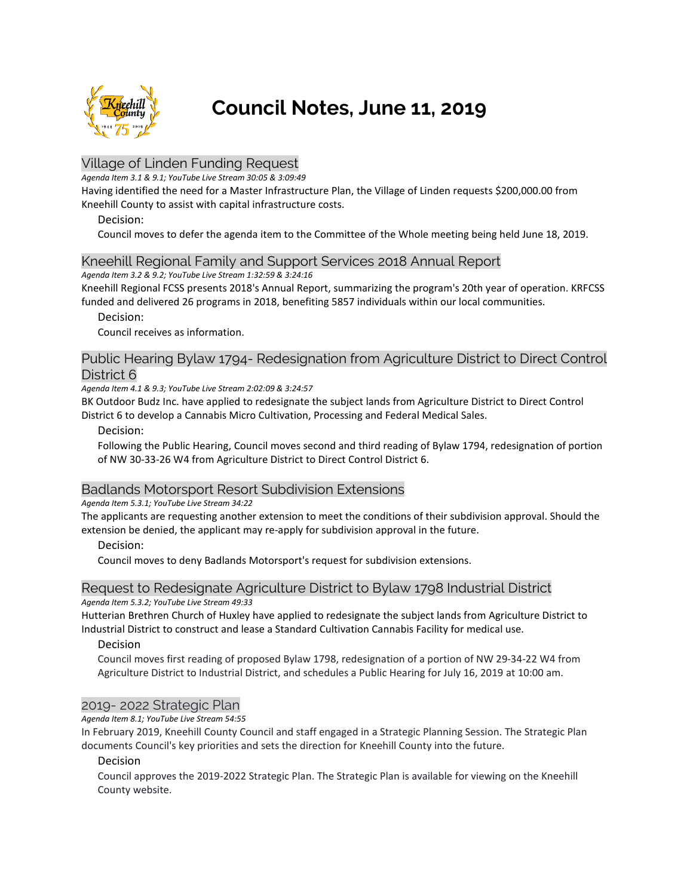

# **Council Notes, June 11, 2019**

# Village of Linden Funding Request

*Agenda Item 3.1 & 9.1; YouTube Live Stream 30:05 & 3:09:49*

Having identified the need for a Master Infrastructure Plan, the Village of Linden requests \$200,000.00 from Kneehill County to assist with capital infrastructure costs.

## Decision:

Council moves to defer the agenda item to the Committee of the Whole meeting being held June 18, 2019.

## Kneehill Regional Family and Support Services 2018 Annual Report

*Agenda Item 3.2 & 9.2; YouTube Live Stream 1:32:59 & 3:24:16*

Kneehill Regional FCSS presents 2018's Annual Report, summarizing the program's 20th year of operation. KRFCSS funded and delivered 26 programs in 2018, benefiting 5857 individuals within our local communities.

## Decision:

Council receives as information.

# Public Hearing Bylaw 1794- Redesignation from Agriculture District to Direct Control District 6

*Agenda Item 4.1 & 9.3; YouTube Live Stream 2:02:09 & 3:24:57*

BK Outdoor Budz Inc. have applied to redesignate the subject lands from Agriculture District to Direct Control District 6 to develop a Cannabis Micro Cultivation, Processing and Federal Medical Sales.

Decision:

Following the Public Hearing, Council moves second and third reading of Bylaw 1794, redesignation of portion of NW 30-33-26 W4 from Agriculture District to Direct Control District 6.

# Badlands Motorsport Resort Subdivision Extensions

*Agenda Item 5.3.1; YouTube Live Stream 34:22*

The applicants are requesting another extension to meet the conditions of their subdivision approval. Should the extension be denied, the applicant may re-apply for subdivision approval in the future.

## Decision:

Council moves to deny Badlands Motorsport's request for subdivision extensions.

#### Request to Redesignate Agriculture District to Bylaw 1798 Industrial District *Agenda Item 5.3.2; YouTube Live Stream 49:33*

Hutterian Brethren Church of Huxley have applied to redesignate the subject lands from Agriculture District to Industrial District to construct and lease a Standard Cultivation Cannabis Facility for medical use.

# Decision

Council moves first reading of proposed Bylaw 1798, redesignation of a portion of NW 29-34-22 W4 from Agriculture District to Industrial District, and schedules a Public Hearing for July 16, 2019 at 10:00 am.

# 2019- 2022 Strategic Plan

## *Agenda Item 8.1; YouTube Live Stream 54:55*

In February 2019, Kneehill County Council and staff engaged in a Strategic Planning Session. The Strategic Plan documents Council's key priorities and sets the direction for Kneehill County into the future.

## Decision

Council approves the 2019-2022 Strategic Plan. The Strategic Plan is available for viewing on the Kneehill County website.